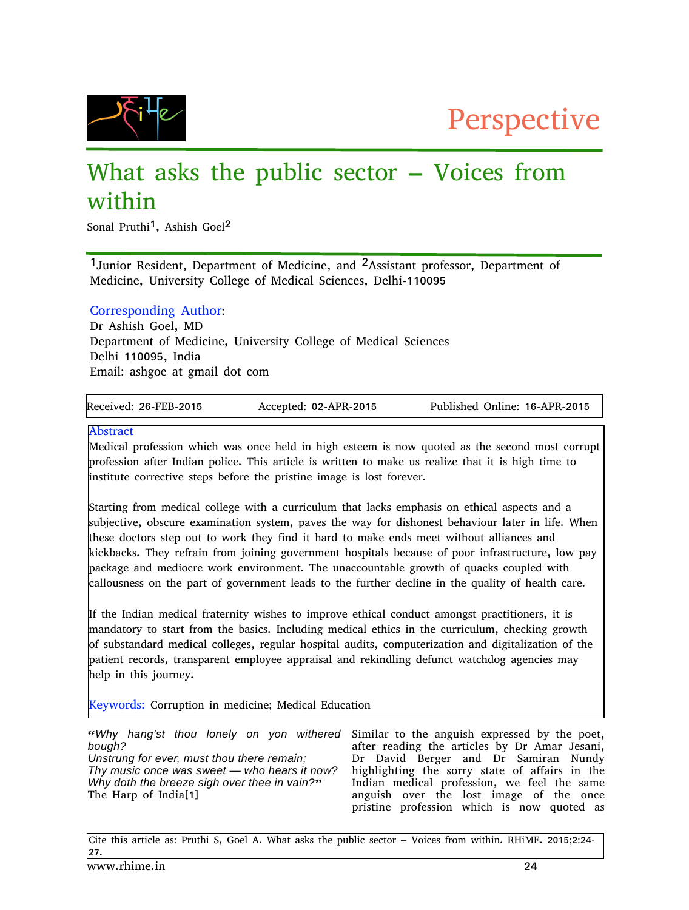



# What asks the public sector – Voices from within

Sonal Pruthi<sup>1</sup>, Ashish Goel<sup>2</sup>

<sup>1</sup>Junior Resident, Department of Medicine, and <sup>2</sup>Assistant professor, Department of Medicine, University College of Medical Sciences, Delhi-110095

## Corresponding Author:

Dr Ashish Goel, MD Department of Medicine, University College of Medical Sciences Delhi 110095, India Email: ashgoe at gmail dot com

| Received: 26-FEB-2015 | Accepted: 02-APR-2015 | Published Online: 16-APR-2015 |
|-----------------------|-----------------------|-------------------------------|

### Abstract

Medical profession which was once held in high esteem is now quoted as the second most corrupt profession after Indian police. This article is written to make us realize that it is high time to institute corrective steps before the pristine image is lost forever.

Starting from medical college with a curriculum that lacks emphasis on ethical aspects and a subjective, obscure examination system, paves the way for dishonest behaviour later in life. When these doctors step out to work they find it hard to make ends meet without alliances and kickbacks. They refrain from joining government hospitals because of poor infrastructure, low pay package and mediocre work environment. The unaccountable growth of quacks coupled with callousness on the part of government leads to the further decline in the quality of health care.

If the Indian medical fraternity wishes to improve ethical conduct amongst practitioners, it is mandatory to start from the basics. Including medical ethics in the curriculum, checking growth of substandard medical colleges, regular hospital audits, computerization and digitalization of the patient records, transparent employee appraisal and rekindling defunct watchdog agencies may help in this journey.

Keywords: Corruption in medicine; Medical Education

| bough?                                       | "Why hang'st thou lonely on yon withered <b>Similar to the anguish expressed by the poet,</b><br>after reading the articles by Dr Amar Jesani, |
|----------------------------------------------|------------------------------------------------------------------------------------------------------------------------------------------------|
| Unstrung for ever, must thou there remain    | Dr David Berger and Dr Samiran Nundy                                                                                                           |
| Thy music once was sweet — who hears it now? | highlighting the sorry state of affairs in the                                                                                                 |
| Why doth the breeze sigh over thee in vain?" | Indian medical profession, we feel the same                                                                                                    |
| The Harp of India[1]                         | anguish over the lost image of the once                                                                                                        |
|                                              | pristine profession which is now quoted as                                                                                                     |

Cite this article as: Pruthi S, Goel A. What asks the public sector – Voices from within. RHiME. 2015;2:24- 27.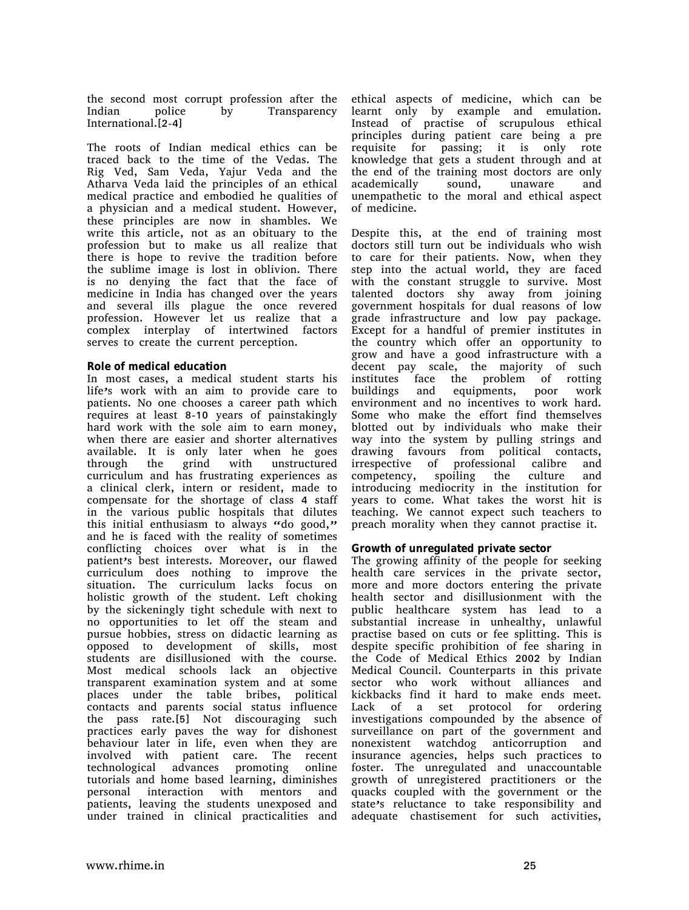the second most corrupt profession after the Indian police by Transparency International.[2-4]

The roots of Indian medical ethics can be traced back to the time of the Vedas. The Rig Ved, Sam Veda, Yajur Veda and the Atharva Veda laid the principles of an ethical medical practice and embodied he qualities of a physician and a medical student. However, these principles are now in shambles. We write this article, not as an obituary to the profession but to make us all realize that there is hope to revive the tradition before the sublime image is lost in oblivion. There is no denying the fact that the face of medicine in India has changed over the years and several ills plague the once revered profession. However let us realize that a complex interplay of intertwined factors serves to create the current perception.

#### **Role of medical education**

In most cases, a medical student starts his life's work with an aim to provide care to patients. No one chooses a career path which requires at least 8-10 years of painstakingly hard work with the sole aim to earn money, when there are easier and shorter alternatives available. It is only later when he goes through the grind with unstructured curriculum and has frustrating experiences as a clinical clerk, intern or resident, made to compensate for the shortage of class 4 staff in the various public hospitals that dilutes this initial enthusiasm to always "do good," and he is faced with the reality of sometimes conflicting choices over what is in the patient's best interests. Moreover, our flawed curriculum does nothing to improve the situation. The curriculum lacks focus on holistic growth of the student. Left choking by the sickeningly tight schedule with next to no opportunities to let off the steam and pursue hobbies, stress on didactic learning as opposed to development of skills, most students are disillusioned with the course. Most medical schools lack an objective transparent examination system and at some places under the table bribes, political contacts and parents social status influence the pass rate.[5] Not discouraging such practices early paves the way for dishonest behaviour later in life, even when they are involved with patient care. The recent technological advances promoting online tutorials and home based learning, diminishes personal interaction with mentors and patients, leaving the students unexposed and under trained in clinical practicalities and

ethical aspects of medicine, which can be learnt only by example and emulation. Instead of practise of scrupulous ethical principles during patient care being a pre requisite for passing; it is only rote knowledge that gets a student through and at the end of the training most doctors are only academically sound, unaware and unempathetic to the moral and ethical aspect of medicine.

Despite this, at the end of training most doctors still turn out be individuals who wish to care for their patients. Now, when they step into the actual world, they are faced with the constant struggle to survive. Most talented doctors shy away from joining government hospitals for dual reasons of low grade infrastructure and low pay package. Except for a handful of premier institutes in the country which offer an opportunity to grow and have a good infrastructure with a decent pay scale, the majority of such institutes face the problem of rotting buildings and equipments, poor work environment and no incentives to work hard. Some who make the effort find themselves blotted out by individuals who make their way into the system by pulling strings and drawing favours from political contacts, irrespective of professional calibre and competency, spoiling the culture and introducing mediocrity in the institution for years to come. What takes the worst hit is teaching. We cannot expect such teachers to preach morality when they cannot practise it.

#### **Growth of unregulated private sector**

The growing affinity of the people for seeking health care services in the private sector, more and more doctors entering the private health sector and disillusionment with the public healthcare system has lead to a substantial increase in unhealthy, unlawful practise based on cuts or fee splitting. This is despite specific prohibition of fee sharing in the Code of Medical Ethics 2002 by Indian Medical Council. Counterparts in this private sector who work without alliances and kickbacks find it hard to make ends meet. Lack of a set protocol for ordering investigations compounded by the absence of surveillance on part of the government and nonexistent watchdog anticorruption and insurance agencies, helps such practices to foster. The unregulated and unaccountable growth of unregistered practitioners or the quacks coupled with the government or the state's reluctance to take responsibility and adequate chastisement for such activities,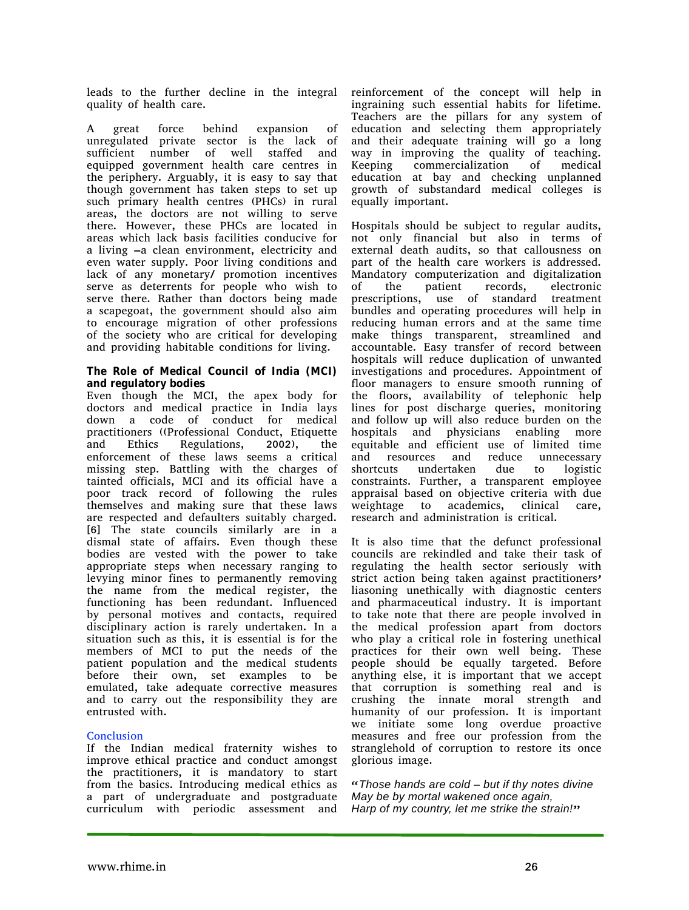leads to the further decline in the integral quality of health care.

A great force behind expansion of unregulated private sector is the lack of sufficient number of well staffed and equipped government health care centres in the periphery. Arguably, it is easy to say that though government has taken steps to set up such primary health centres (PHCs) in rural areas, the doctors are not willing to serve there. However, these PHCs are located in areas which lack basis facilities conducive for a living –a clean environment, electricity and even water supply. Poor living conditions and lack of any monetary/ promotion incentives serve as deterrents for people who wish to serve there. Rather than doctors being made a scapegoat, the government should also aim to encourage migration of other professions of the society who are critical for developing and providing habitable conditions for living.

#### **The Role of Medical Council of India (MCI) and regulatory bodies**

Even though the MCI, the apex body for doctors and medical practice in India lays down a code of conduct for medical practitioners ((Professional Conduct, Etiquette and Ethics Regulations, 2002), the enforcement of these laws seems a critical missing step. Battling with the charges of tainted officials, MCI and its official have a poor track record of following the rules themselves and making sure that these laws are respected and defaulters suitably charged. [6] The state councils similarly are in a dismal state of affairs. Even though these bodies are vested with the power to take appropriate steps when necessary ranging to levying minor fines to permanently removing the name from the medical register, the functioning has been redundant. Influenced by personal motives and contacts, required disciplinary action is rarely undertaken. In a situation such as this, it is essential is for the members of MCI to put the needs of the patient population and the medical students before their own, set examples to be emulated, take adequate corrective measures and to carry out the responsibility they are entrusted with.

### **Conclusion**

If the Indian medical fraternity wishes to improve ethical practice and conduct amongst the practitioners, it is mandatory to start from the basics. Introducing medical ethics as a part of undergraduate and postgraduate curriculum with periodic assessment and

reinforcement of the concept will help in ingraining such essential habits for lifetime. Teachers are the pillars for any system of education and selecting them appropriately and their adequate training will go a long way in improving the quality of teaching. Keeping commercialization of medical education at bay and checking unplanned growth of substandard medical colleges is equally important.

Hospitals should be subject to regular audits, not only financial but also in terms of external death audits, so that callousness on part of the health care workers is addressed. Mandatory computerization and digitalization of the patient records, electronic prescriptions, use of standard treatment bundles and operating procedures will help in reducing human errors and at the same time make things transparent, streamlined and accountable. Easy transfer of record between hospitals will reduce duplication of unwanted investigations and procedures. Appointment of floor managers to ensure smooth running of the floors, availability of telephonic help lines for post discharge queries, monitoring and follow up will also reduce burden on the hospitals and physicians enabling more equitable and efficient use of limited time and resources and reduce unnecessary shortcuts undertaken due to logistic constraints. Further, a transparent employee appraisal based on objective criteria with due weightage to academics, clinical care, research and administration is critical.

It is also time that the defunct professional councils are rekindled and take their task of regulating the health sector seriously with strict action being taken against practitioners' liasoning unethically with diagnostic centers and pharmaceutical industry. It is important to take note that there are people involved in the medical profession apart from doctors who play a critical role in fostering unethical practices for their own well being. These people should be equally targeted. Before anything else, it is important that we accept that corruption is something real and is crushing the innate moral strength and humanity of our profession. It is important we initiate some long overdue proactive measures and free our profession from the stranglehold of corruption to restore its once glorious image.

"*Those hands are cold – but if thy notes divine May be by mortal wakened once again, Harp of my country, let me strike the strain!*"